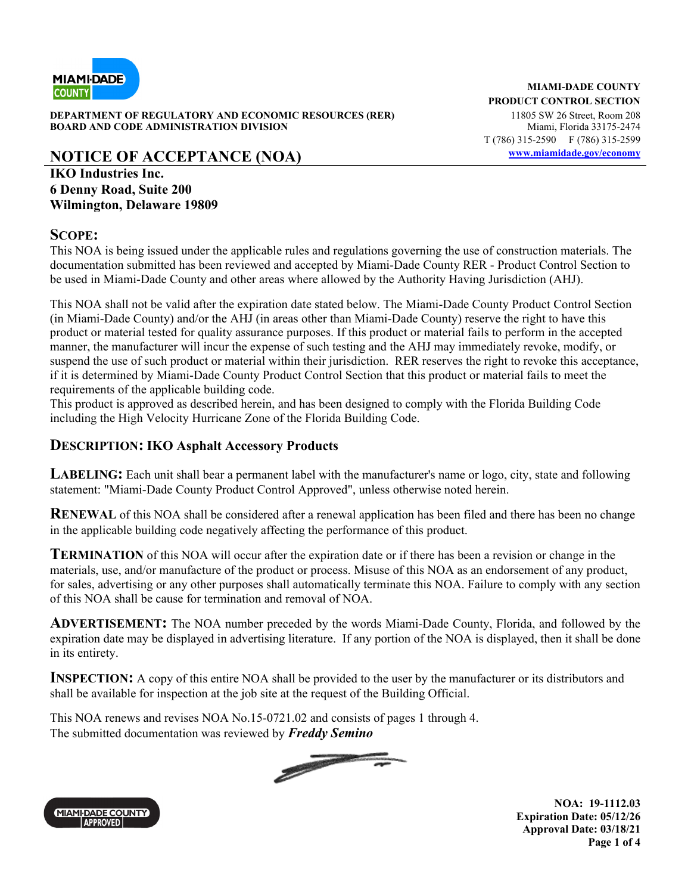

**DEPARTMENT OF REGULATORY AND ECONOMIC RESOURCES (RER)** 11805 SW 26 Street, Room 208 **BOARD AND CODE ADMINISTRATION DIVISION** Miami, Florida 33175-2474

# **NOTICE OF ACCEPTANCE (NOA) www.miamidade.gov/economy**

#### **IKO Industries Inc. 6 Denny Road, Suite 200 Wilmington, Delaware 19809**

### **SCOPE:**

This NOA is being issued under the applicable rules and regulations governing the use of construction materials. The documentation submitted has been reviewed and accepted by Miami-Dade County RER - Product Control Section to be used in Miami-Dade County and other areas where allowed by the Authority Having Jurisdiction (AHJ).

This NOA shall not be valid after the expiration date stated below. The Miami-Dade County Product Control Section (in Miami-Dade County) and/or the AHJ (in areas other than Miami-Dade County) reserve the right to have this product or material tested for quality assurance purposes. If this product or material fails to perform in the accepted manner, the manufacturer will incur the expense of such testing and the AHJ may immediately revoke, modify, or suspend the use of such product or material within their jurisdiction. RER reserves the right to revoke this acceptance, if it is determined by Miami-Dade County Product Control Section that this product or material fails to meet the requirements of the applicable building code.

This product is approved as described herein, and has been designed to comply with the Florida Building Code including the High Velocity Hurricane Zone of the Florida Building Code.

#### **DESCRIPTION: IKO Asphalt Accessory Products**

**LABELING:** Each unit shall bear a permanent label with the manufacturer's name or logo, city, state and following statement: "Miami-Dade County Product Control Approved", unless otherwise noted herein.

**RENEWAL** of this NOA shall be considered after a renewal application has been filed and there has been no change in the applicable building code negatively affecting the performance of this product.

**TERMINATION** of this NOA will occur after the expiration date or if there has been a revision or change in the materials, use, and/or manufacture of the product or process. Misuse of this NOA as an endorsement of any product, for sales, advertising or any other purposes shall automatically terminate this NOA. Failure to comply with any section of this NOA shall be cause for termination and removal of NOA.

**ADVERTISEMENT:** The NOA number preceded by the words Miami-Dade County, Florida, and followed by the expiration date may be displayed in advertising literature. If any portion of the NOA is displayed, then it shall be done in its entirety.

**INSPECTION:** A copy of this entire NOA shall be provided to the user by the manufacturer or its distributors and shall be available for inspection at the job site at the request of the Building Official.

This NOA renews and revises NOA No.15-0721.02 and consists of pages 1 through 4. The submitted documentation was reviewed by *Freddy Semino*



**MIAMI-DADE COUNTY APPROVED** 

**NOA: 19-1112.03 Expiration Date: 05/12/26 Approval Date: 03/18/21 Page 1 of 4** 

**MIAMI-DADE COUNTY PRODUCT CONTROL SECTION** 

T (786) 315-2590 F (786) 315-2599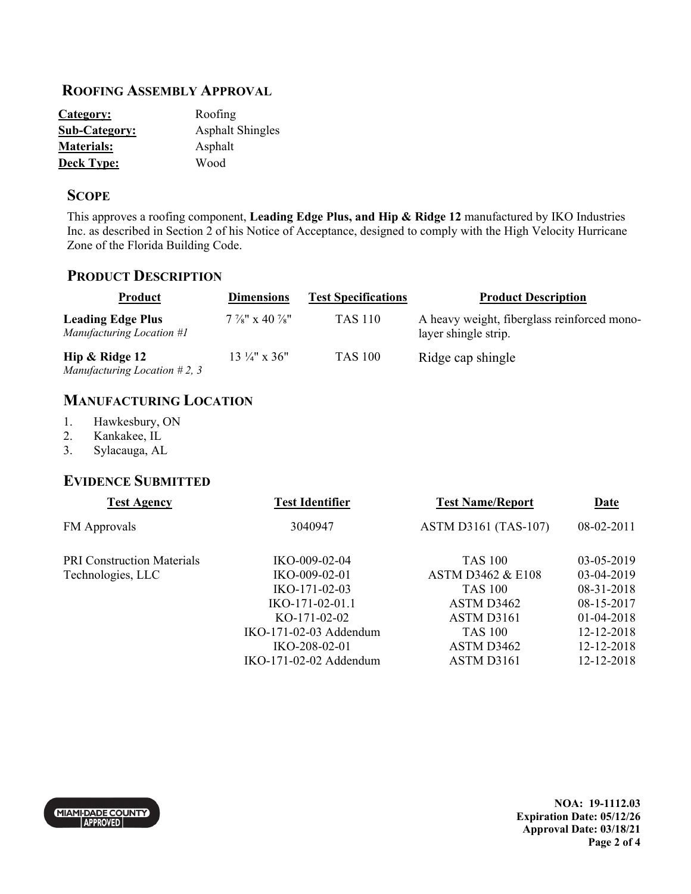#### **ROOFING ASSEMBLY APPROVAL**

| Category:            | Roofing                 |  |
|----------------------|-------------------------|--|
| <b>Sub-Category:</b> | <b>Asphalt Shingles</b> |  |
| <b>Materials:</b>    | Asphalt                 |  |
| <b>Deck Type:</b>    | Wood                    |  |

#### **SCOPE**

This approves a roofing component, **Leading Edge Plus, and Hip & Ridge 12** manufactured by IKO Industries Inc. as described in Section 2 of his Notice of Acceptance, designed to comply with the High Velocity Hurricane Zone of the Florida Building Code.

## **PRODUCT DESCRIPTION**

| <b>Product</b>                                        | <b>Dimensions</b>                     | <b>Test Specifications</b> | <b>Product Description</b>                                          |
|-------------------------------------------------------|---------------------------------------|----------------------------|---------------------------------------------------------------------|
| <b>Leading Edge Plus</b><br>Manufacturing Location #1 | $7\frac{7}{8}$ " x 40 $\frac{7}{8}$ " | TAS 110                    | A heavy weight, fiberglass reinforced mono-<br>layer shingle strip. |
| Hip & Ridge 12<br>Manufacturing Location $#2, 3$      | $13\frac{1}{4}$ " x 36"               | TAS 100                    | Ridge cap shingle                                                   |

### **MANUFACTURING LOCATION**

- 1. Hawkesbury, ON
- 2. Kankakee, IL
- 3. Sylacauga, AL

### **EVIDENCE SUBMITTED**

| <b>Test Identifier</b> | <b>Test Name/Report</b>     | Date             |
|------------------------|-----------------------------|------------------|
| 3040947                | <b>ASTM D3161 (TAS-107)</b> | 08-02-2011       |
| IKO-009-02-04          | <b>TAS 100</b>              | $03-05-2019$     |
| $IKO-009-02-01$        | ASTM D3462 & E108           | 03-04-2019       |
| IKO-171-02-03          | <b>TAS 100</b>              | 08-31-2018       |
| IKO-171-02-01.1        | ASTM D3462                  | 08-15-2017       |
| $KO-171-02-02$         | ASTM D3161                  | $01 - 04 - 2018$ |
| IKO-171-02-03 Addendum | <b>TAS 100</b>              | 12-12-2018       |
| $IKO-208-02-01$        | ASTM D3462                  | 12-12-2018       |
| IKO-171-02-02 Addendum | ASTM D3161                  | 12-12-2018       |
|                        |                             |                  |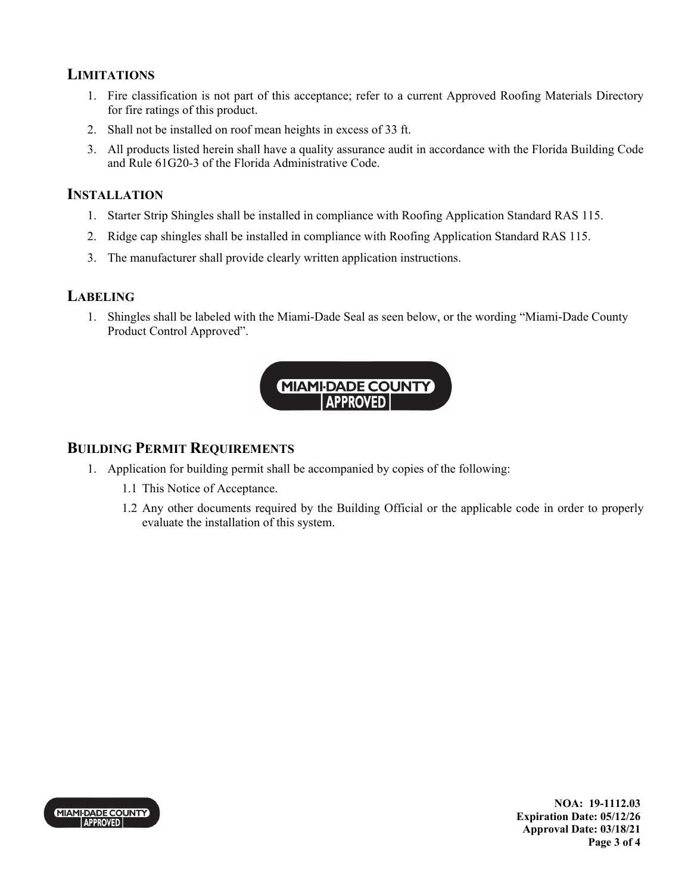## **LIMITATIONS**

- 1. Fire classification is not part of this acceptance; refer to a current Approved Roofing Materials Directory for fire ratings of this product.
- 2. Shall not be installed on roof mean heights in excess of 33 ft.
- 3. All products listed herein shall have a quality assurance audit in accordance with the Florida Building Code and Rule 61G20-3 of the Florida Administrative Code.

### **INSTALLATION**

- 1. Starter Strip Shingles shall be installed in compliance with Roofing Application Standard RAS 115.
- 2. Ridge cap shingles shall be installed in compliance with Roofing Application Standard RAS 115.
- 3. The manufacturer shall provide clearly written application instructions.

### **LABELING**

1. Shingles shall be labeled with the Miami-Dade Seal as seen below, or the wording "Miami-Dade County Product Control Approved".



# **BUILDING PERMIT REQUIREMENTS**

- 1. Application for building permit shall be accompanied by copies of the following:
	- 1.1 This Notice of Acceptance.
	- 1.2 Any other documents required by the Building Official or the applicable code in order to properly evaluate the installation of this system.



**NOA: 19-1112.03 Expiration Date: 05/12/26 Approval Date: 03/18/21 Page 3 of 4**